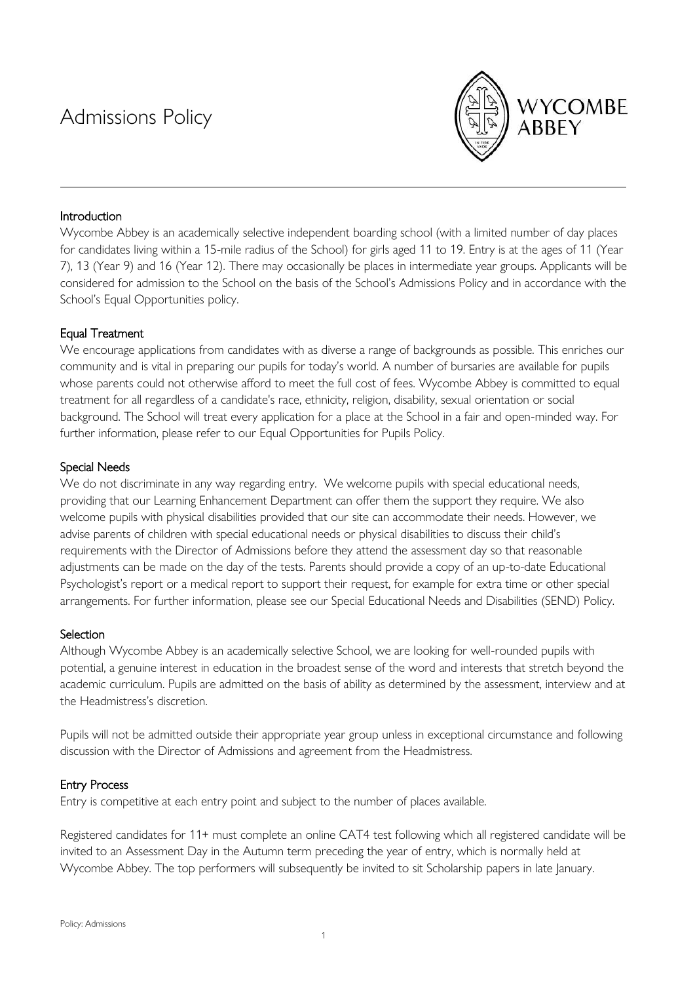# Admissions Policy



# Introduction

Wycombe Abbey is an academically selective independent boarding school (with a limited number of day places for candidates living within a 15-mile radius of the School) for girls aged 11 to 19. Entry is at the ages of 11 (Year 7), 13 (Year 9) and 16 (Year 12). There may occasionally be places in intermediate year groups. Applicants will be considered for admission to the School on the basis of the School's Admissions Policy and in accordance with the School's Equal Opportunities policy.

# Equal Treatment

We encourage applications from candidates with as diverse a range of backgrounds as possible. This enriches our community and is vital in preparing our pupils for today's world. A number of bursaries are available for pupils whose parents could not otherwise afford to meet the full cost of fees. Wycombe Abbey is committed to equal treatment for all regardless of a candidate's race, ethnicity, religion, disability, sexual orientation or social background. The School will treat every application for a place at the School in a fair and open-minded way. For further information, please refer to our Equal Opportunities for Pupils Policy.

## Special Needs

We do not discriminate in any way regarding entry. We welcome pupils with special educational needs, providing that our Learning Enhancement Department can offer them the support they require. We also welcome pupils with physical disabilities provided that our site can accommodate their needs. However, we advise parents of children with special educational needs or physical disabilities to discuss their child's requirements with the Director of Admissions before they attend the assessment day so that reasonable adjustments can be made on the day of the tests. Parents should provide a copy of an up-to-date Educational Psychologist's report or a medical report to support their request, for example for extra time or other special arrangements. For further information, please see our Special Educational Needs and Disabilities (SEND) Policy.

## Selection

Although Wycombe Abbey is an academically selective School, we are looking for well-rounded pupils with potential, a genuine interest in education in the broadest sense of the word and interests that stretch beyond the academic curriculum. Pupils are admitted on the basis of ability as determined by the assessment, interview and at the Headmistress's discretion.

Pupils will not be admitted outside their appropriate year group unless in exceptional circumstance and following discussion with the Director of Admissions and agreement from the Headmistress.

## Entry Process

Entry is competitive at each entry point and subject to the number of places available.

Registered candidates for 11+ must complete an online CAT4 test following which all registered candidate will be invited to an Assessment Day in the Autumn term preceding the year of entry, which is normally held at Wycombe Abbey. The top performers will subsequently be invited to sit Scholarship papers in late January.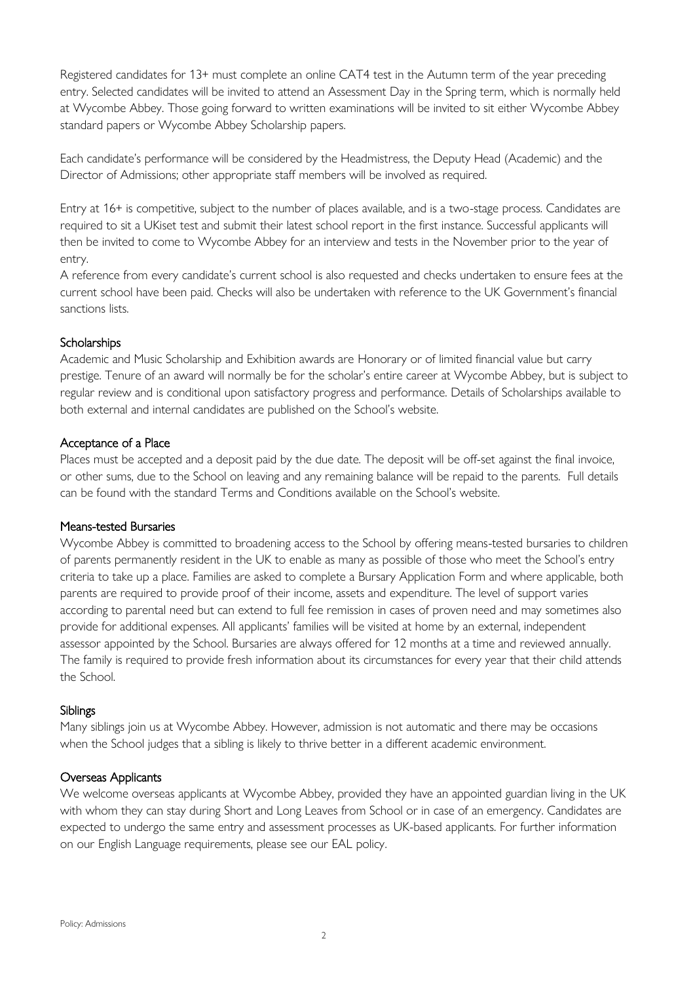Registered candidates for 13+ must complete an online CAT4 test in the Autumn term of the year preceding entry. Selected candidates will be invited to attend an Assessment Day in the Spring term, which is normally held at Wycombe Abbey. Those going forward to written examinations will be invited to sit either Wycombe Abbey standard papers or Wycombe Abbey Scholarship papers.

Each candidate's performance will be considered by the Headmistress, the Deputy Head (Academic) and the Director of Admissions; other appropriate staff members will be involved as required.

Entry at 16+ is competitive, subject to the number of places available, and is a two-stage process. Candidates are required to sit a UKiset test and submit their latest school report in the first instance. Successful applicants will then be invited to come to Wycombe Abbey for an interview and tests in the November prior to the year of entry.

A reference from every candidate's current school is also requested and checks undertaken to ensure fees at the current school have been paid. Checks will also be undertaken with reference to the UK Government's financial sanctions lists.

#### **Scholarships**

Academic and Music Scholarship and Exhibition awards are Honorary or of limited financial value but carry prestige. Tenure of an award will normally be for the scholar's entire career at Wycombe Abbey, but is subject to regular review and is conditional upon satisfactory progress and performance. Details of Scholarships available to both external and internal candidates are published on the School's website.

#### Acceptance of a Place

Places must be accepted and a deposit paid by the due date. The deposit will be off-set against the final invoice, or other sums, due to the School on leaving and any remaining balance will be repaid to the parents. Full details can be found with the standard Terms and Conditions available on the School's website.

#### Means-tested Bursaries

Wycombe Abbey is committed to broadening access to the School by offering means-tested bursaries to children of parents permanently resident in the UK to enable as many as possible of those who meet the School's entry criteria to take up a place. Families are asked to complete a Bursary Application Form and where applicable, both parents are required to provide proof of their income, assets and expenditure. The level of support varies according to parental need but can extend to full fee remission in cases of proven need and may sometimes also provide for additional expenses. All applicants' families will be visited at home by an external, independent assessor appointed by the School. Bursaries are always offered for 12 months at a time and reviewed annually. The family is required to provide fresh information about its circumstances for every year that their child attends the School.

#### Siblings

Many siblings join us at Wycombe Abbey. However, admission is not automatic and there may be occasions when the School judges that a sibling is likely to thrive better in a different academic environment.

#### Overseas Applicants

We welcome overseas applicants at Wycombe Abbey, provided they have an appointed guardian living in the UK with whom they can stay during Short and Long Leaves from School or in case of an emergency. Candidates are expected to undergo the same entry and assessment processes as UK-based applicants. For further information on our English Language requirements, please see our EAL policy.